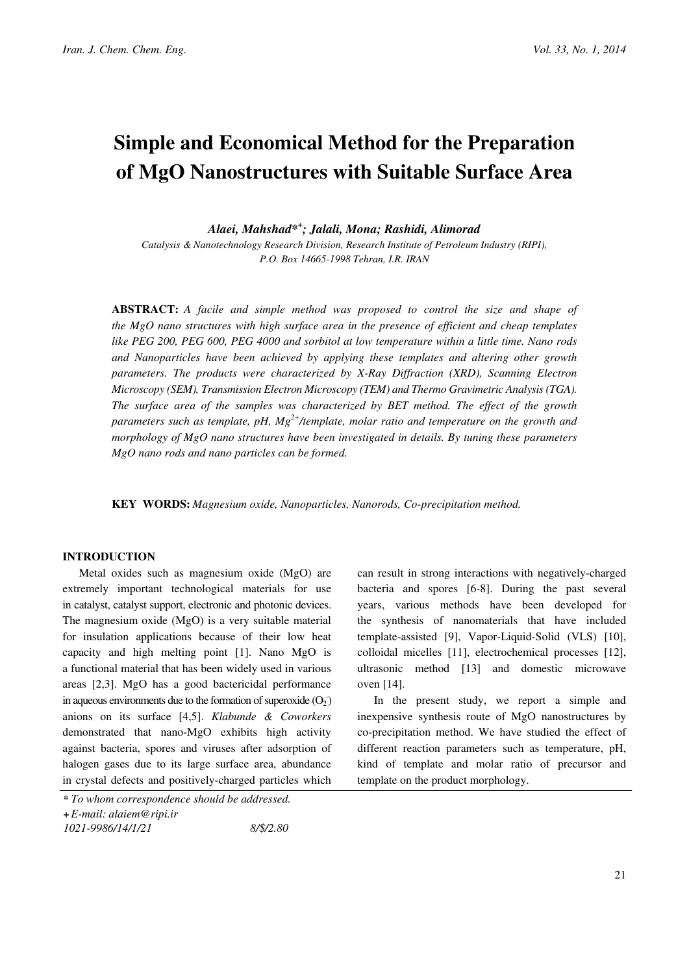# Simple and Economical Method for the Preparation of MgO Nanostructures with Suitable Surface Area

Alaei, Mahshad\*+ ; Jalali, Mona; Rashidi, Alimorad

Catalysis & Nanotechnology Research Division, Research Institute of Petroleum Industry (RIPI), P.O. Box 14665-1998 Tehran, I.R. IRAN

ABSTRACT: A facile and simple method was proposed to control the size and shape of the MgO nano structures with high surface area in the presence of efficient and cheap templates like PEG 200, PEG 600, PEG 4000 and sorbitol at low temperature within a little time. Nano rods and Nanoparticles have been achieved by applying these templates and altering other growth parameters. The products were characterized by X-Ray Diffraction (XRD), Scanning Electron Microscopy (SEM), Transmission Electron Microscopy (TEM) and Thermo Gravimetric Analysis (TGA). The surface area of the samples was characterized by BET method. The effect of the growth parameters such as template, pH,  $Mg^{2+}/t$ emplate, molar ratio and temperature on the growth and morphology of MgO nano structures have been investigated in details. By tuning these parameters MgO nano rods and nano particles can be formed.

KEY WORDS: Magnesium oxide, Nanoparticles, Nanorods, Co-precipitation method.

## INTRODUCTION

Metal oxides such as magnesium oxide (MgO) are extremely important technological materials for use in catalyst, catalyst support, electronic and photonic devices. The magnesium oxide (MgO) is a very suitable material for insulation applications because of their low heat capacity and high melting point [1]. Nano MgO is a functional material that has been widely used in various areas [2,3]. MgO has a good bactericidal performance in aqueous environments due to the formation of superoxide  $(O_2)$ anions on its surface [4,5]. Klabunde & Coworkers demonstrated that nano-MgO exhibits high activity against bacteria, spores and viruses after adsorption of halogen gases due to its large surface area, abundance in crystal defects and positively-charged particles which

can result in strong interactions with negatively-charged bacteria and spores [6-8]. During the past several years, various methods have been developed for the synthesis of nanomaterials that have included template-assisted [9], Vapor-Liquid-Solid (VLS) [10], colloidal micelles [11], electrochemical processes [12], ultrasonic method [13] and domestic microwave oven [14].

In the present study, we report a simple and inexpensive synthesis route of MgO nanostructures by co-precipitation method. We have studied the effect of different reaction parameters such as temperature, pH, kind of template and molar ratio of precursor and template on the product morphology.

<sup>\*</sup> To whom correspondence should be addressed.

<sup>+</sup>E-mail: alaiem@ripi.ir

<sup>1021-9986/14/1/21</sup> 8/\$/2.80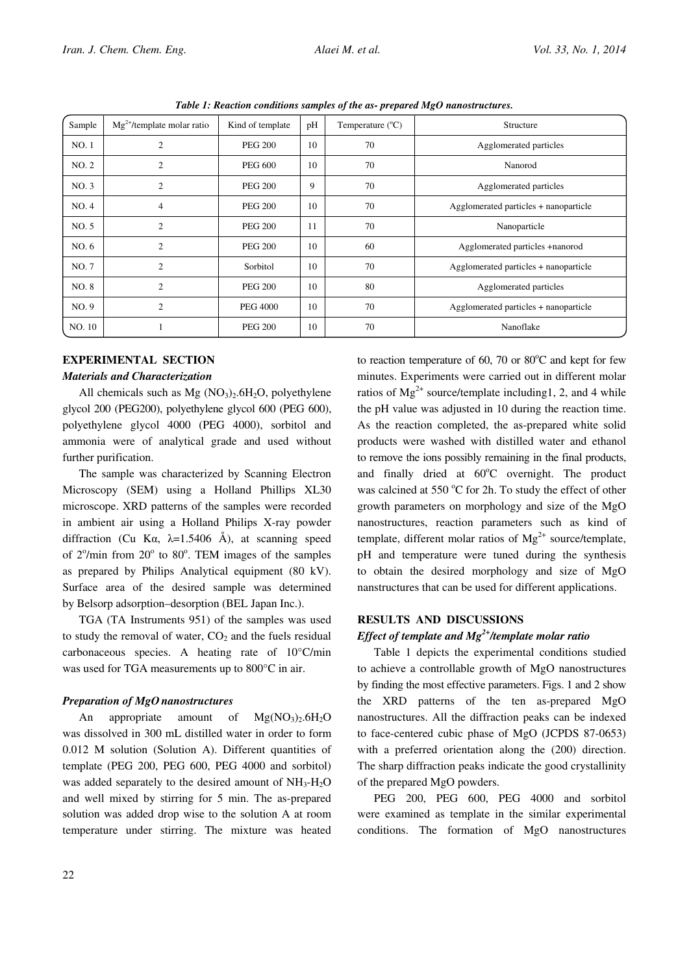| Sample | $Mg^{2+}$ /template molar ratio | Kind of template | pH | Temperature $(^{\circ}C)$ | Structure                             |
|--------|---------------------------------|------------------|----|---------------------------|---------------------------------------|
| NO.1   | $\overline{c}$                  | <b>PEG 200</b>   | 10 | 70                        | Agglomerated particles                |
| NO.2   | $\overline{2}$                  | <b>PEG 600</b>   | 10 | 70                        | Nanorod                               |
| NO.3   | $\mathfrak{2}$                  | <b>PEG 200</b>   | 9  | 70                        | Agglomerated particles                |
| NO.4   | $\overline{4}$                  | <b>PEG 200</b>   | 10 | 70                        | Agglomerated particles + nanoparticle |
| NO.5   | $\overline{2}$                  | <b>PEG 200</b>   | 11 | 70                        | Nanoparticle                          |
| NO.6   | $\overline{c}$                  | <b>PEG 200</b>   | 10 | 60                        | Agglomerated particles +nanorod       |
| NO.7   | $\overline{c}$                  | Sorbitol         | 10 | 70                        | Agglomerated particles + nanoparticle |
| NO.8   | $\overline{2}$                  | <b>PEG 200</b>   | 10 | 80                        | Agglomerated particles                |
| NO.9   | $\overline{2}$                  | <b>PEG 4000</b>  | 10 | 70                        | Agglomerated particles + nanoparticle |
| NO. 10 |                                 | <b>PEG 200</b>   | 10 | 70                        | Nanoflake                             |

Table 1: Reaction conditions samples of the as- prepared MgO nanostructures.

# EXPERIMENTAL SECTION Materials and Characterization

All chemicals such as  $Mg (NO<sub>3</sub>)<sub>2</sub>$ .6H<sub>2</sub>O, polyethylene glycol 200 (PEG200), polyethylene glycol 600 (PEG 600), polyethylene glycol 4000 (PEG 4000), sorbitol and ammonia were of analytical grade and used without further purification.

The sample was characterized by Scanning Electron Microscopy (SEM) using a Holland Phillips XL30 microscope. XRD patterns of the samples were recorded in ambient air using a Holland Philips X-ray powder diffraction (Cu K $\alpha$ ,  $\lambda$ =1.5406 Å), at scanning speed of  $2^{\circ}/$ min from  $20^{\circ}$  to  $80^{\circ}$ . TEM images of the samples as prepared by Philips Analytical equipment (80 kV). Surface area of the desired sample was determined by Belsorp adsorption–desorption (BEL Japan Inc.).

TGA (TA Instruments 951) of the samples was used to study the removal of water,  $CO<sub>2</sub>$  and the fuels residual carbonaceous species. A heating rate of 10°C/min was used for TGA measurements up to 800°C in air.

### Preparation of MgO nanostructures

An appropriate amount of  $Mg(NO<sub>3</sub>)<sub>2</sub>6H<sub>2</sub>O$ was dissolved in 300 mL distilled water in order to form 0.012 M solution (Solution A). Different quantities of template (PEG 200, PEG 600, PEG 4000 and sorbitol) was added separately to the desired amount of  $NH_3-H_2O$ and well mixed by stirring for 5 min. The as-prepared solution was added drop wise to the solution A at room temperature under stirring. The mixture was heated

to reaction temperature of  $60$ ,  $70$  or  $80^{\circ}$ C and kept for few minutes. Experiments were carried out in different molar ratios of  $Mg^{2+}$  source/template including 1, 2, and 4 while the pH value was adjusted in 10 during the reaction time. As the reaction completed, the as-prepared white solid products were washed with distilled water and ethanol to remove the ions possibly remaining in the final products, and finally dried at  $60^{\circ}$ C overnight. The product was calcined at 550 °C for 2h. To study the effect of other growth parameters on morphology and size of the MgO nanostructures, reaction parameters such as kind of template, different molar ratios of  $Mg^{2+}$  source/template, pH and temperature were tuned during the synthesis to obtain the desired morphology and size of MgO nanstructures that can be used for different applications.

## RESULTS AND DISCUSSIONS

# Effect of template and  $Mg^{2+}/t$ emplate molar ratio

Table 1 depicts the experimental conditions studied to achieve a controllable growth of MgO nanostructures by finding the most effective parameters. Figs. 1 and 2 show the XRD patterns of the ten as-prepared MgO nanostructures. All the diffraction peaks can be indexed to face-centered cubic phase of MgO (JCPDS 87-0653) with a preferred orientation along the (200) direction. The sharp diffraction peaks indicate the good crystallinity of the prepared MgO powders.

PEG 200, PEG 600, PEG 4000 and sorbitol were examined as template in the similar experimental conditions. The formation of MgO nanostructures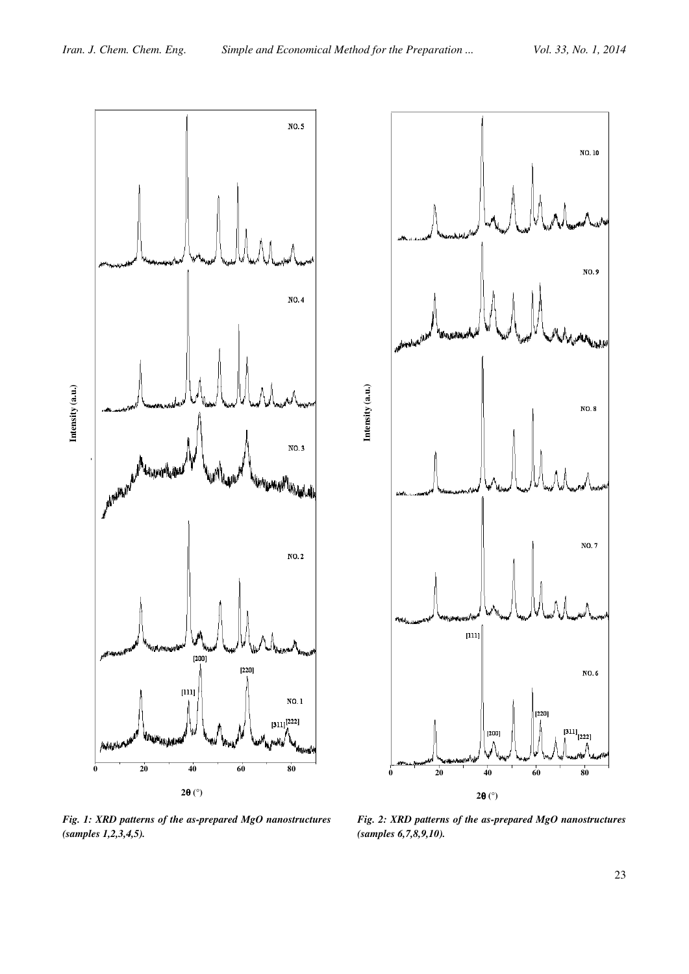Intensity (a.u.)

Intensity (a.u.)





Fig. 1: XRD patterns of the as-prepared MgO nanostructures (samples 1,2,3,4,5).

Fig. 2: XRD patterns of the as-prepared MgO nanostructures (samples 6,7,8,9,10).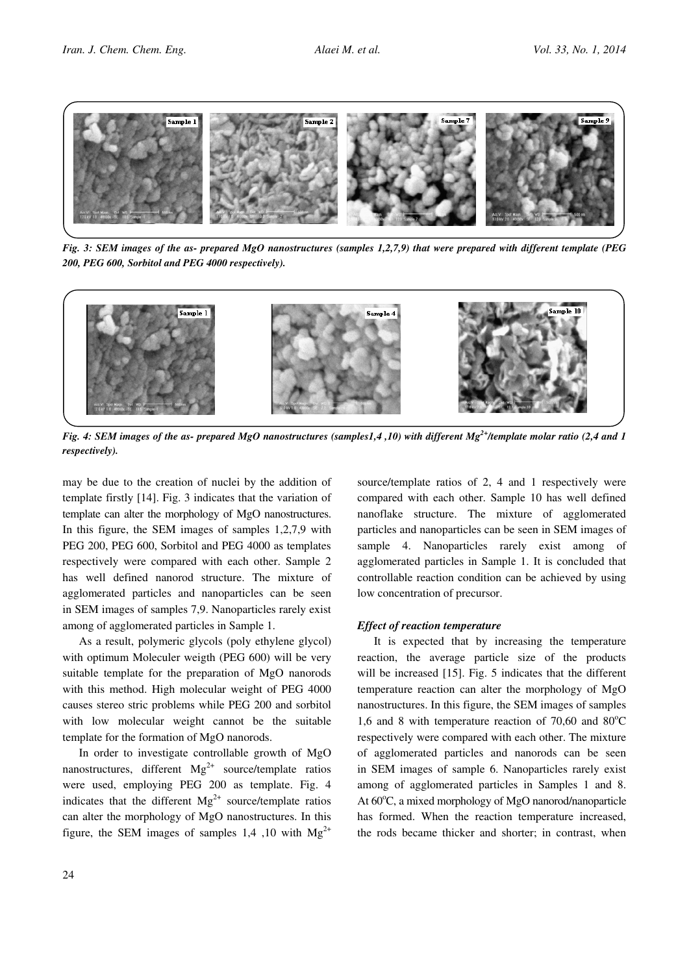

Fig. 3: SEM images of the as- prepared MgO nanostructures (samples 1,2,7,9) that were prepared with different template (PEG 200, PEG 600, Sorbitol and PEG 4000 respectively).



Fig. 4: SEM images of the as- prepared MgO nanostructures (samples1,4,10) with different Mg<sup>2+</sup>/template molar ratio (2,4 and 1 respectively).

may be due to the creation of nuclei by the addition of template firstly [14]. Fig. 3 indicates that the variation of template can alter the morphology of MgO nanostructures. In this figure, the SEM images of samples 1,2,7,9 with PEG 200, PEG 600, Sorbitol and PEG 4000 as templates respectively were compared with each other. Sample 2 has well defined nanorod structure. The mixture of agglomerated particles and nanoparticles can be seen in SEM images of samples 7,9. Nanoparticles rarely exist among of agglomerated particles in Sample 1.

As a result, polymeric glycols (poly ethylene glycol) with optimum Moleculer weigth (PEG 600) will be very suitable template for the preparation of MgO nanorods with this method. High molecular weight of PEG 4000 causes stereo stric problems while PEG 200 and sorbitol with low molecular weight cannot be the suitable template for the formation of MgO nanorods.

In order to investigate controllable growth of MgO nanostructures, different  $Mg^{2+}$  source/template ratios were used, employing PEG 200 as template. Fig. 4 indicates that the different  $Mg^{2+}$  source/template ratios can alter the morphology of MgO nanostructures. In this figure, the SEM images of samples 1,4 ,10 with  $Mg^{2+}$ 

24

source/template ratios of 2, 4 and 1 respectively were compared with each other. Sample 10 has well defined nanoflake structure. The mixture of agglomerated particles and nanoparticles can be seen in SEM images of sample 4. Nanoparticles rarely exist among of agglomerated particles in Sample 1. It is concluded that controllable reaction condition can be achieved by using low concentration of precursor.

#### Effect of reaction temperature

It is expected that by increasing the temperature reaction, the average particle size of the products will be increased [15]. Fig. 5 indicates that the different temperature reaction can alter the morphology of MgO nanostructures. In this figure, the SEM images of samples 1,6 and 8 with temperature reaction of 70,60 and  $80^{\circ}$ C respectively were compared with each other. The mixture of agglomerated particles and nanorods can be seen in SEM images of sample 6. Nanoparticles rarely exist among of agglomerated particles in Samples 1 and 8. At 60°C, a mixed morphology of MgO nanorod/nanoparticle has formed. When the reaction temperature increased, the rods became thicker and shorter; in contrast, when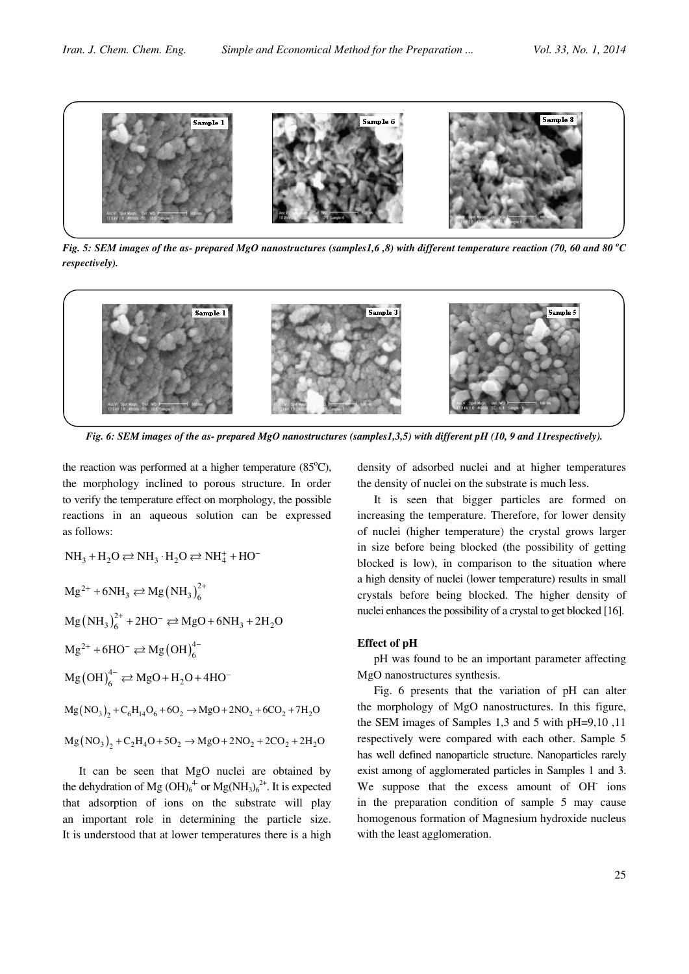

Fig. 5: SEM images of the as- prepared MgO nanostructures (samples1,6,8) with different temperature reaction (70, 60 and 80 °C respectively).



Fig. 6: SEM images of the as- prepared MgO nanostructures (samples1,3,5) with different pH (10, 9 and 11 respectively).

the reaction was performed at a higher temperature  $(85^{\circ}C)$ , the morphology inclined to porous structure. In order to verify the temperature effect on morphology, the possible reactions in an aqueous solution can be expressed as follows:

$$
NH_3 + H_2O \rightleftarrows NH_3 \cdot H_2O \rightleftarrows NH_4^+ + HO^-
$$

$$
Mg^{2+} + 6NH_3 \rightleftarrows Mg(NH_3)_6^{2+}
$$

$$
Mg(NH_3)_{6}^{2+} + 2HO^- \rightleftarrows MgO + 6NH_3 + 2H_2O
$$

$$
Mg^{2+} + 6HO^{-} \rightleftarrows Mg(OH)_{6}^{4-}
$$

$$
Mg(OH)_6^{4-} \rightleftarrows MgO + H_2O + 4HO^-
$$

$$
Mg(NO_3)_2 + C_6H_{14}O_6 + 6O_2 \rightarrow MgO + 2NO_2 + 6CO_2 + 7H_2O
$$

$$
Mg (NO3)2 + C2H4O + 5O2 \rightarrow MgO + 2NO2 + 2CO2 + 2H2O
$$

It can be seen that MgO nuclei are obtained by the dehydration of Mg  $(OH)_6^4$  or  $Mg(NH_3)_6^{2+}$ . It is expected that adsorption of ions on the substrate will play an important role in determining the particle size. It is understood that at lower temperatures there is a high density of adsorbed nuclei and at higher temperatures the density of nuclei on the substrate is much less.

It is seen that bigger particles are formed on increasing the temperature. Therefore, for lower density of nuclei (higher temperature) the crystal grows larger in size before being blocked (the possibility of getting blocked is low), in comparison to the situation where a high density of nuclei (lower temperature) results in small crystals before being blocked. The higher density of nuclei enhances the possibility of a crystal to get blocked [16].

#### Effect of pH

pH was found to be an important parameter affecting MgO nanostructures synthesis.

Fig. 6 presents that the variation of pH can alter the morphology of MgO nanostructures. In this figure, the SEM images of Samples 1,3 and 5 with pH=9,10 ,11 respectively were compared with each other. Sample 5 has well defined nanoparticle structure. Nanoparticles rarely exist among of agglomerated particles in Samples 1 and 3. We suppose that the excess amount of OH ions in the preparation condition of sample 5 may cause homogenous formation of Magnesium hydroxide nucleus with the least agglomeration.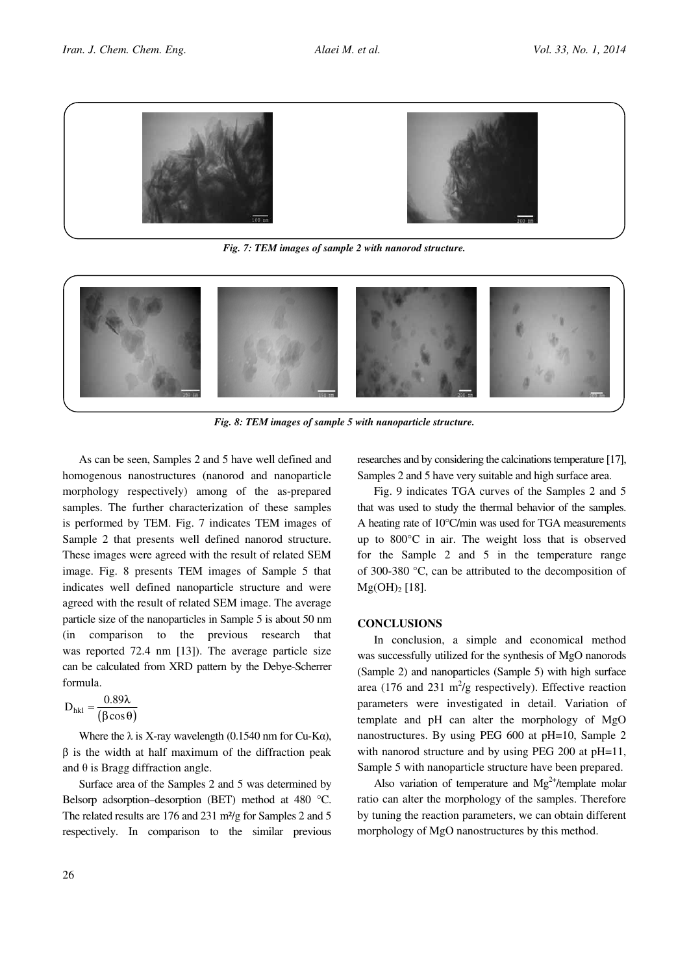

Fig. 7: TEM images of sample 2 with nanorod structure.



Fig. 8: TEM images of sample 5 with nanoparticle structure.

As can be seen, Samples 2 and 5 have well defined and homogenous nanostructures (nanorod and nanoparticle morphology respectively) among of the as-prepared samples. The further characterization of these samples is performed by TEM. Fig. 7 indicates TEM images of Sample 2 that presents well defined nanorod structure. These images were agreed with the result of related SEM image. Fig. 8 presents TEM images of Sample 5 that indicates well defined nanoparticle structure and were agreed with the result of related SEM image. The average particle size of the nanoparticles in Sample 5 is about 50 nm (in comparison to the previous research that was reported 72.4 nm [13]). The average particle size can be calculated from XRD pattern by the Debye-Scherrer formula.

$$
D_{hkl} = \frac{0.89\lambda}{(\beta \cos \theta)}
$$

Where the  $\lambda$  is X-ray wavelength (0.1540 nm for Cu-K $\alpha$ ),  $\beta$  is the width at half maximum of the diffraction peak and  $\theta$  is Bragg diffraction angle.

Surface area of the Samples 2 and 5 was determined by Belsorp adsorption–desorption (BET) method at 480 °C. The related results are 176 and 231 m<sup>2</sup>/g for Samples 2 and 5 respectively. In comparison to the similar previous researches and by considering the calcinations temperature [17], Samples 2 and 5 have very suitable and high surface area.

Fig. 9 indicates TGA curves of the Samples 2 and 5 that was used to study the thermal behavior of the samples. A heating rate of 10°C/min was used for TGA measurements up to 800°C in air. The weight loss that is observed for the Sample 2 and 5 in the temperature range of 300-380 °C, can be attributed to the decomposition of  $Mg(OH)$ <sub>2</sub> [18].

#### **CONCLUSIONS**

In conclusion, a simple and economical method was successfully utilized for the synthesis of MgO nanorods (Sample 2) and nanoparticles (Sample 5) with high surface area (176 and 231 m<sup>2</sup>/g respectively). Effective reaction parameters were investigated in detail. Variation of template and pH can alter the morphology of MgO nanostructures. By using PEG 600 at pH=10, Sample 2 with nanorod structure and by using PEG 200 at pH=11, Sample 5 with nanoparticle structure have been prepared.

Also variation of temperature and  $Mg^{2+}$ /template molar ratio can alter the morphology of the samples. Therefore by tuning the reaction parameters, we can obtain different morphology of MgO nanostructures by this method.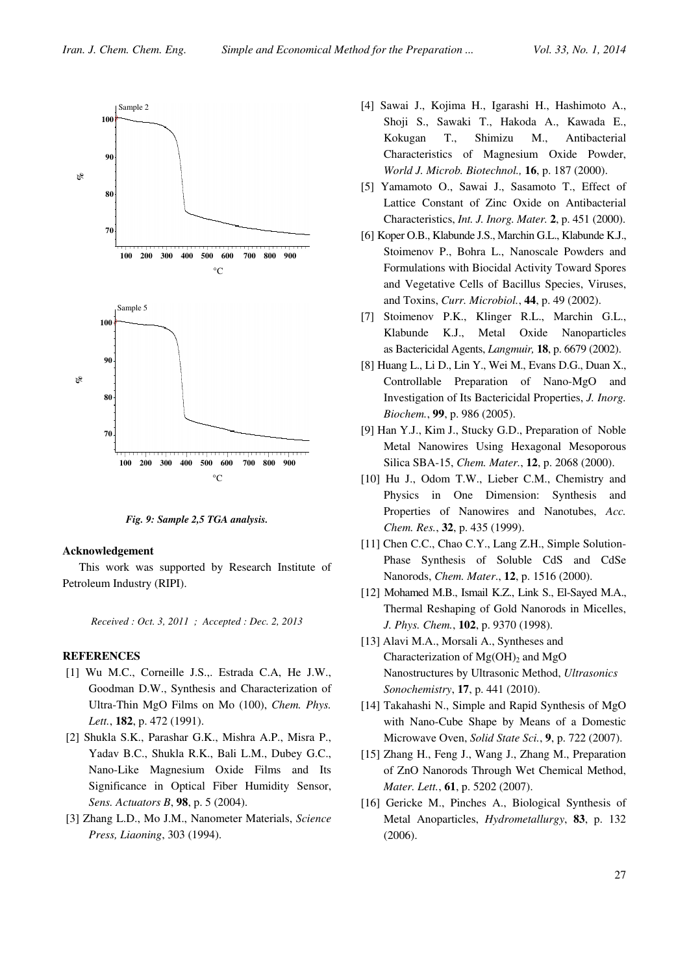

Fig. 9: Sample 2,5 TGA analysis.

#### Acknowledgement

This work was supported by Research Institute of Petroleum Industry (RIPI).

Received : Oct. 3, 2011 ; Accepted : Dec. 2, 2013

#### **REFERENCES**

- [1] Wu M.C., Corneille J.S.,. Estrada C.A, He J.W., Goodman D.W., Synthesis and Characterization of Ultra-Thin MgO Films on Mo (100), Chem. Phys. Lett., 182, p. 472 (1991).
- [2] Shukla S.K., Parashar G.K., Mishra A.P., Misra P., Yadav B.C., Shukla R.K., Bali L.M., Dubey G.C., Nano-Like Magnesium Oxide Films and Its Significance in Optical Fiber Humidity Sensor, Sens. Actuators B, 98, p. 5 (2004).
- [3] Zhang L.D., Mo J.M., Nanometer Materials, Science Press, Liaoning, 303 (1994).
- [4] Sawai J., Kojima H., Igarashi H., Hashimoto A., Shoji S., Sawaki T., Hakoda A., Kawada E., Kokugan T., Shimizu M., Antibacterial Characteristics of Magnesium Oxide Powder, World J. Microb. Biotechnol., 16, p. 187 (2000).
- [5] Yamamoto O., Sawai J., Sasamoto T., Effect of Lattice Constant of Zinc Oxide on Antibacterial Characteristics, Int. J. Inorg. Mater. 2, p. 451 (2000).
- [6] Koper O.B., Klabunde J.S., Marchin G.L., Klabunde K.J., Stoimenov P., Bohra L., Nanoscale Powders and Formulations with Biocidal Activity Toward Spores and Vegetative Cells of Bacillus Species, Viruses, and Toxins, Curr. Microbiol., 44, p. 49 (2002).
- [7] Stoimenov P.K., Klinger R.L., Marchin G.L., Klabunde K.J., Metal Oxide Nanoparticles as Bactericidal Agents, Langmuir, 18, p. 6679 (2002).
- [8] Huang L., Li D., Lin Y., Wei M., Evans D.G., Duan X., Controllable Preparation of Nano-MgO and Investigation of Its Bactericidal Properties, J. Inorg. Biochem., 99, p. 986 (2005).
- [9] Han Y.J., Kim J., Stucky G.D., Preparation of Noble Metal Nanowires Using Hexagonal Mesoporous Silica SBA-15, Chem. Mater., 12, p. 2068 (2000).
- [10] Hu J., Odom T.W., Lieber C.M., Chemistry and Physics in One Dimension: Synthesis and Properties of Nanowires and Nanotubes, Acc. Chem. Res., 32, p. 435 (1999).
- [11] Chen C.C., Chao C.Y., Lang Z.H., Simple Solution-Phase Synthesis of Soluble CdS and CdSe Nanorods, Chem. Mater., 12, p. 1516 (2000).
- [12] Mohamed M.B., Ismail K.Z., Link S., El-Sayed M.A., Thermal Reshaping of Gold Nanorods in Micelles, J. Phys. Chem., 102, p. 9370 (1998).
- [13] Alavi M.A., Morsali A., Syntheses and Characterization of  $Mg(OH)_2$  and  $MgO$ Nanostructures by Ultrasonic Method, Ultrasonics Sonochemistry, 17, p. 441 (2010).
- [14] Takahashi N., Simple and Rapid Synthesis of MgO with Nano-Cube Shape by Means of a Domestic Microwave Oven, Solid State Sci., 9, p. 722 (2007).
- [15] Zhang H., Feng J., Wang J., Zhang M., Preparation of ZnO Nanorods Through Wet Chemical Method, Mater. Lett., **61**, p. 5202 (2007).
- [16] Gericke M., Pinches A., Biological Synthesis of Metal Anoparticles, Hydrometallurgy, 83, p. 132 (2006).